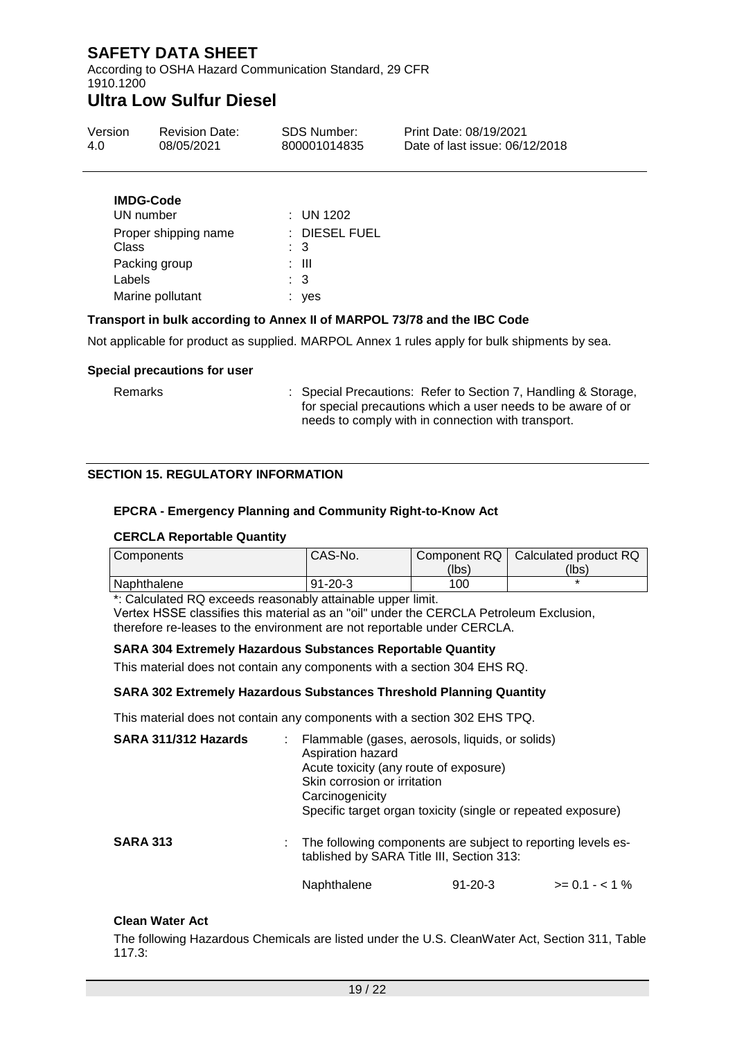According to OSHA Hazard Communication Standard, 29 CFR 1910.1200

# **Ultra Low Sulfur Diesel**

| Version | <b>Revision Date:</b> | SDS Number:<br>950 | Print Date: 4/01/2022<br>Date of last issue: 4/01/2022 |
|---------|-----------------------|--------------------|--------------------------------------------------------|
|         |                       |                    |                                                        |

| <b>IMDG-Code</b>     |               |
|----------------------|---------------|
| UN number            | $:$ UN 1202   |
| Proper shipping name | : DIESEL FUEL |
| Class                | : 3           |
| Packing group        | : III         |
| Labels               | : 3           |
| Marine pollutant     | ves           |
|                      |               |

### **Transport in bulk according to Annex II of MARPOL 73/78 and the IBC Code**

Not applicable for product as supplied. MARPOL Annex 1 rules apply for bulk shipments by sea.

#### **Special precautions for user**

Remarks : Special Precautions: Refer to Section 7, Handling & Storage, for special precautions which a user needs to be aware of or needs to comply with in connection with transport.

### **SECTION 15. REGULATORY INFORMATION**

### **EPCRA - Emergency Planning and Community Right-to-Know Act**

#### **CERCLA Reportable Quantity**

| Components  | CAS-No.       |       | Component RQ   Calculated product RQ |
|-------------|---------------|-------|--------------------------------------|
|             |               | (lbs) | (lbs)                                |
| Naphthalene | $91 - 20 - 3$ | 100   |                                      |

\*: Calculated RQ exceeds reasonably attainable upper limit.

Vertex HSSE classifies this material as an "oil" under the CERCLA Petroleum Exclusion, therefore re-leases to the environment are not reportable under CERCLA.

### **SARA 304 Extremely Hazardous Substances Reportable Quantity**

This material does not contain any components with a section 304 EHS RQ.

#### **SARA 302 Extremely Hazardous Substances Threshold Planning Quantity**

This material does not contain any components with a section 302 EHS TPQ.

| SARA 311/312 Hazards | : Flammable (gases, aerosols, liquids, or solids)<br>Aspiration hazard<br>Acute toxicity (any route of exposure)<br>Skin corrosion or irritation<br>Carcinogenicity<br>Specific target organ toxicity (single or repeated exposure) |               |                  |
|----------------------|-------------------------------------------------------------------------------------------------------------------------------------------------------------------------------------------------------------------------------------|---------------|------------------|
| <b>SARA 313</b>      | : The following components are subject to reporting levels es-<br>tablished by SARA Title III, Section 313:                                                                                                                         |               |                  |
|                      | Naphthalene                                                                                                                                                                                                                         | $91 - 20 - 3$ | $>= 0.1 - < 1\%$ |

#### **Clean Water Act**

The following Hazardous Chemicals are listed under the U.S. CleanWater Act, Section 311, Table 117.3: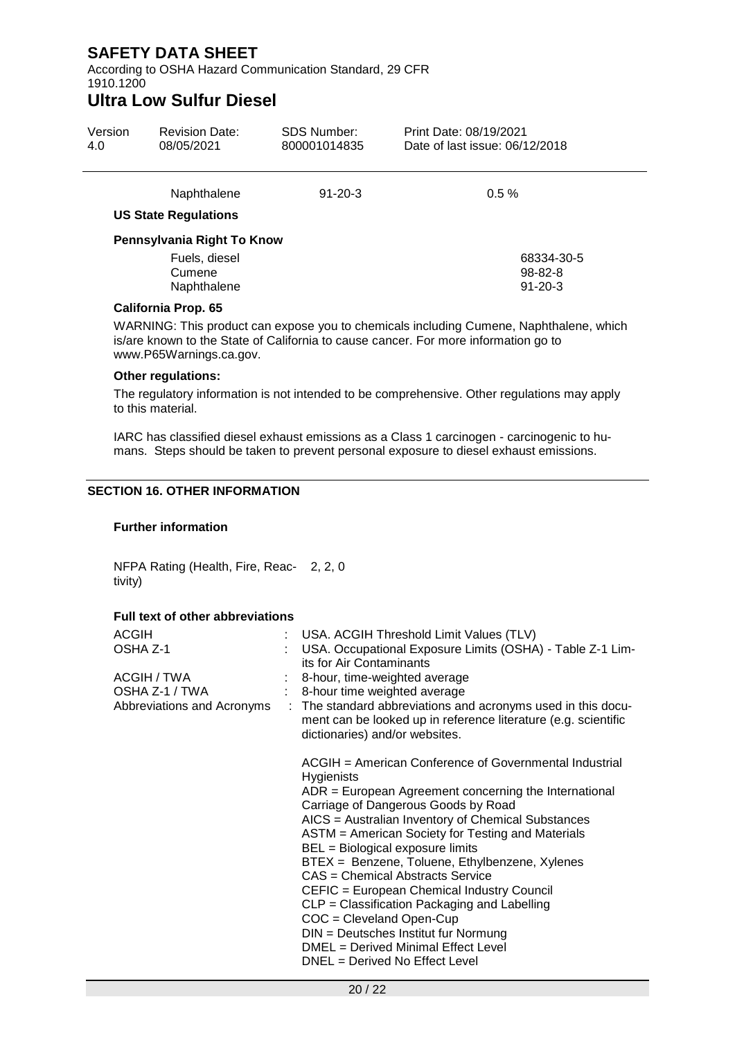According to OSHA Hazard Communication Standard, 29 CFR 1910.1200

# **Ultra Low Sulfur Diesel**

| Version<br>1.0 | <b>Revision Date:</b><br>4/01/2022                         | SDS Number:<br>VRAM00043 | Print Date: 4/01/2022<br>Date of last issue: 4/01/2022 |
|----------------|------------------------------------------------------------|--------------------------|--------------------------------------------------------|
|                | Naphthalene<br><b>US State Regulations</b>                 | $91 - 20 - 3$            | $0.5\%$                                                |
|                | Pennsylvania Right To Know                                 |                          |                                                        |
|                | Fuels, diesel                                              |                          | 68334-30-5                                             |
|                | Cumene<br>Naphthalene                                      |                          | 98-82-8<br>$91 - 20 - 3$                               |
|                | $\sim$ $\sim$<br>$\sim$ $\sim$ $\sim$ $\sim$ $\sim$ $\sim$ |                          |                                                        |

### **California Prop. 65**

WARNING: This product can expose you to chemicals including Cumene, Naphthalene, which is/are known to the State of California to cause cancer. For more information go to www.P65Warnings.ca.gov.

### **Other regulations:**

The regulatory information is not intended to be comprehensive. Other regulations may apply to this material.

IARC has classified diesel exhaust emissions as a Class 1 carcinogen - carcinogenic to humans. Steps should be taken to prevent personal exposure to diesel exhaust emissions.

### **SECTION 16. OTHER INFORMATION**

### **Further information**

NFPA Rating (Health, Fire, Reac-2, 2, 0 tivity)

### **Full text of other abbreviations**

| <b>ACGIH</b>               |  | : USA. ACGIH Threshold Limit Values (TLV)                                                                                                                        |
|----------------------------|--|------------------------------------------------------------------------------------------------------------------------------------------------------------------|
| OSHA Z-1                   |  | USA. Occupational Exposure Limits (OSHA) - Table Z-1 Lim-                                                                                                        |
|                            |  | its for Air Contaminants                                                                                                                                         |
| ACGIH / TWA                |  | : 8-hour, time-weighted average                                                                                                                                  |
| OSHA Z-1 / TWA             |  | : 8-hour time weighted average                                                                                                                                   |
| Abbreviations and Acronyms |  | : The standard abbreviations and acronyms used in this docu-<br>ment can be looked up in reference literature (e.g. scientific<br>dictionaries) and/or websites. |
|                            |  | ACGIH = American Conference of Governmental Industrial<br><b>Hygienists</b>                                                                                      |
|                            |  | $ADR = European Agreement concerning the International$                                                                                                          |
|                            |  | Carriage of Dangerous Goods by Road                                                                                                                              |
|                            |  | AICS = Australian Inventory of Chemical Substances                                                                                                               |
|                            |  | ASTM = American Society for Testing and Materials<br>BEL = Biological exposure limits                                                                            |
|                            |  | BTEX = Benzene, Toluene, Ethylbenzene, Xylenes                                                                                                                   |
|                            |  | CAS = Chemical Abstracts Service                                                                                                                                 |
|                            |  | CEFIC = European Chemical Industry Council                                                                                                                       |
|                            |  | CLP = Classification Packaging and Labelling                                                                                                                     |
|                            |  | $COC = Cleveland Open-Cup$                                                                                                                                       |
|                            |  | DIN = Deutsches Institut fur Normung                                                                                                                             |
|                            |  | DMEL = Derived Minimal Effect Level                                                                                                                              |
|                            |  |                                                                                                                                                                  |
|                            |  | DNEL = Derived No Effect Level                                                                                                                                   |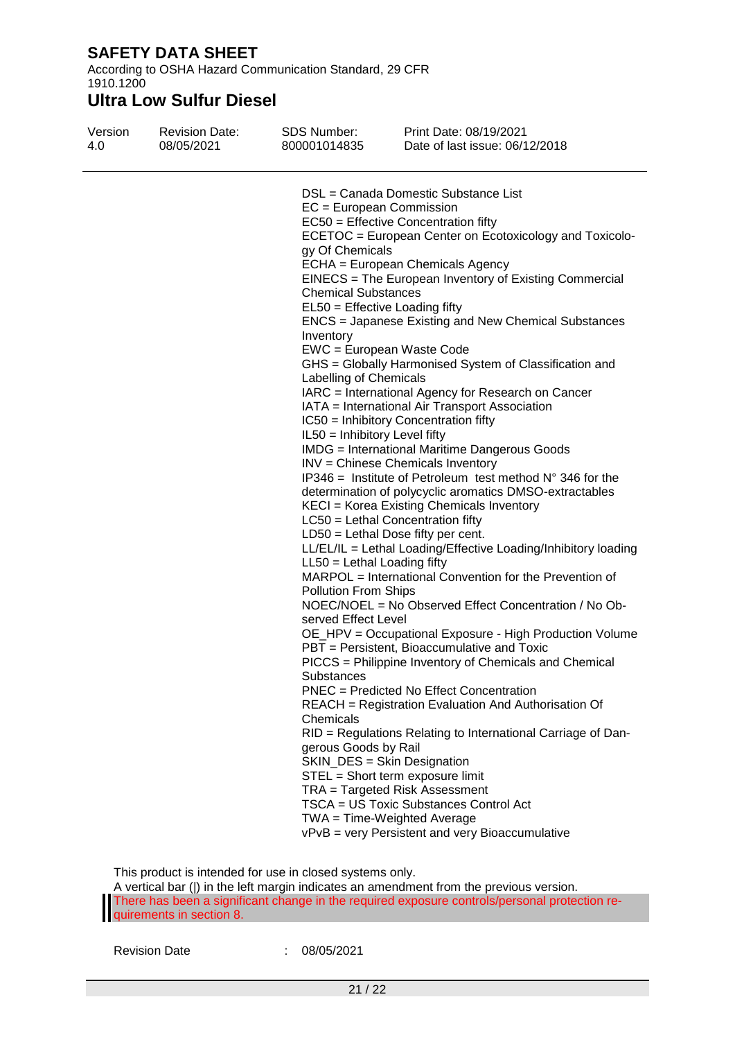According to OSHA Hazard Communication Standard, 29 CFR 1910.1200

# **Ultra Low Sulfur Diesel**

| Version | <b>Revision Date:</b> | SDS Number:                                                                                                                                                                                                                                                     | Print Date: 4/01/2022                                                                                                                                                                                                                                                                                                                                                                                                                                                                                                                                                                                                                                                                                                                                                                                                                                                                                                                                                                                                                                                                                                                                                                                                                                                                                                                                                                                                                                                                                                                                                                                                                                                                                                               |
|---------|-----------------------|-----------------------------------------------------------------------------------------------------------------------------------------------------------------------------------------------------------------------------------------------------------------|-------------------------------------------------------------------------------------------------------------------------------------------------------------------------------------------------------------------------------------------------------------------------------------------------------------------------------------------------------------------------------------------------------------------------------------------------------------------------------------------------------------------------------------------------------------------------------------------------------------------------------------------------------------------------------------------------------------------------------------------------------------------------------------------------------------------------------------------------------------------------------------------------------------------------------------------------------------------------------------------------------------------------------------------------------------------------------------------------------------------------------------------------------------------------------------------------------------------------------------------------------------------------------------------------------------------------------------------------------------------------------------------------------------------------------------------------------------------------------------------------------------------------------------------------------------------------------------------------------------------------------------------------------------------------------------------------------------------------------------|
| 1.0     | 4/01/2022             | VRAM00043                                                                                                                                                                                                                                                       | Date of last issue: 4/01/2022                                                                                                                                                                                                                                                                                                                                                                                                                                                                                                                                                                                                                                                                                                                                                                                                                                                                                                                                                                                                                                                                                                                                                                                                                                                                                                                                                                                                                                                                                                                                                                                                                                                                                                       |
|         |                       | gy Of Chemicals<br><b>Chemical Substances</b><br>Inventory<br>Labelling of Chemicals<br>IL50 = Inhibitory Level fifty<br>$LL50 = Lethal$ Loading fifty<br><b>Pollution From Ships</b><br>served Effect Level<br>Substances<br>Chemicals<br>gerous Goods by Rail | DSL = Canada Domestic Substance List<br>$EC = European Commission$<br>EC50 = Effective Concentration fifty<br>ECETOC = European Center on Ecotoxicology and Toxicolo-<br>ECHA = European Chemicals Agency<br>EINECS = The European Inventory of Existing Commercial<br>EL50 = Effective Loading fifty<br><b>ENCS</b> = Japanese Existing and New Chemical Substances<br>EWC = European Waste Code<br>GHS = Globally Harmonised System of Classification and<br>IARC = International Agency for Research on Cancer<br>IATA = International Air Transport Association<br>IC50 = Inhibitory Concentration fifty<br><b>IMDG</b> = International Maritime Dangerous Goods<br>INV = Chinese Chemicals Inventory<br>IP346 = Institute of Petroleum test method $N^{\circ}$ 346 for the<br>determination of polycyclic aromatics DMSO-extractables<br>KECI = Korea Existing Chemicals Inventory<br>LC50 = Lethal Concentration fifty<br>$LD50 = Lethal Does fifty per cent.$<br>LL/EL/IL = Lethal Loading/Effective Loading/Inhibitory loading<br>MARPOL = International Convention for the Prevention of<br>NOEC/NOEL = No Observed Effect Concentration / No Ob-<br>OE_HPV = Occupational Exposure - High Production Volume<br>PBT = Persistent, Bioaccumulative and Toxic<br>PICCS = Philippine Inventory of Chemicals and Chemical<br>PNEC = Predicted No Effect Concentration<br>REACH = Registration Evaluation And Authorisation Of<br>RID = Regulations Relating to International Carriage of Dan-<br>SKIN_DES = Skin Designation<br>STEL = Short term exposure limit<br>TRA = Targeted Risk Assessment<br>TSCA = US Toxic Substances Control Act<br>TWA = Time-Weighted Average<br>vPvB = very Persistent and very Bioaccumulative |

This product is intended for use in closed systems only.

A vertical bar (|) in the left margin indicates an amendment from the previous version. There has been a significant change in the required exposure controls/personal protection requirements in section 8.

Revision Date : 4/01/2022